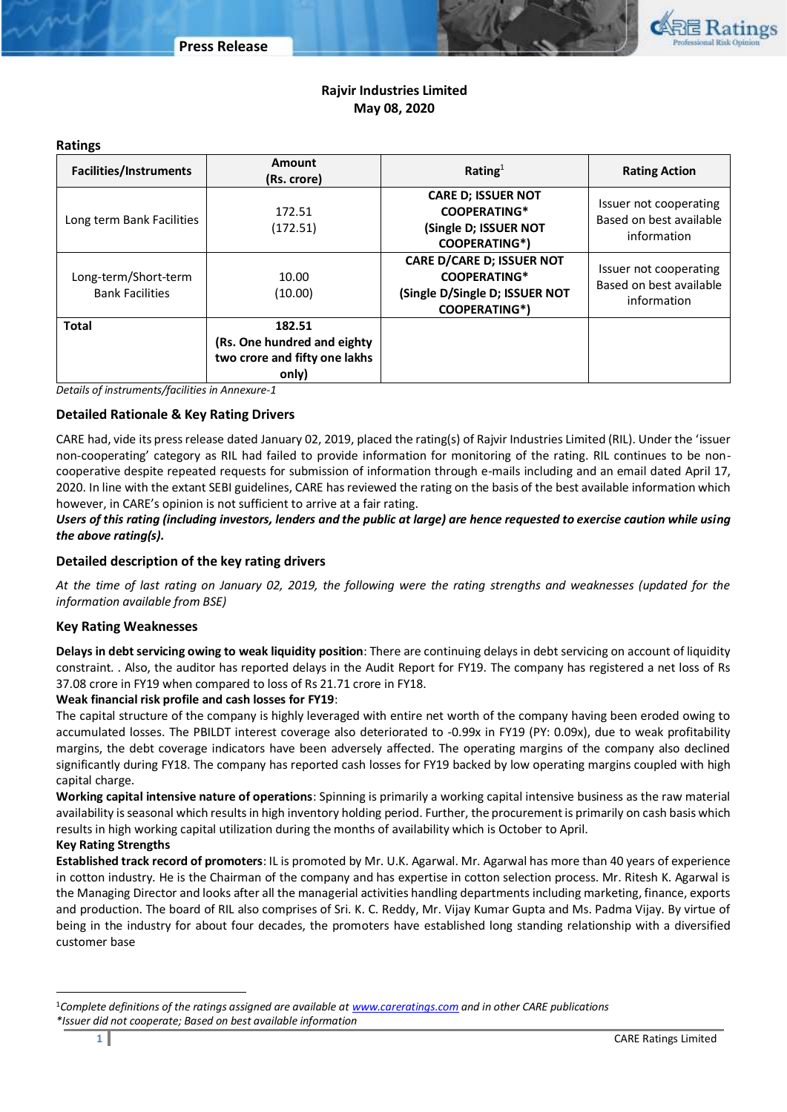

# **Rajvir Industries Limited May 08, 2020**

#### **Ratings**

| <b>Facilities/Instruments</b>                  | Amount<br>(Rs. crore)                                                           | Rating $1$                                                                                                        | <b>Rating Action</b>                                             |  |
|------------------------------------------------|---------------------------------------------------------------------------------|-------------------------------------------------------------------------------------------------------------------|------------------------------------------------------------------|--|
| Long term Bank Facilities                      | 172.51<br>(172.51)                                                              | <b>CARE D; ISSUER NOT</b><br><b>COOPERATING*</b><br>(Single D; ISSUER NOT<br><b>COOPERATING*)</b>                 | Issuer not cooperating<br>Based on best available<br>information |  |
| Long-term/Short-term<br><b>Bank Facilities</b> | 10.00<br>(10.00)                                                                | <b>CARE D/CARE D; ISSUER NOT</b><br><b>COOPERATING*</b><br>(Single D/Single D; ISSUER NOT<br><b>COOPERATING*)</b> | Issuer not cooperating<br>Based on best available<br>information |  |
| <b>Total</b>                                   | 182.51<br>(Rs. One hundred and eighty<br>two crore and fifty one lakhs<br>only) |                                                                                                                   |                                                                  |  |

*Details of instruments/facilities in Annexure-1*

# **Detailed Rationale & Key Rating Drivers**

CARE had, vide its press release dated January 02, 2019, placed the rating(s) of Rajvir Industries Limited (RIL). Under the 'issuer non-cooperating' category as RIL had failed to provide information for monitoring of the rating. RIL continues to be noncooperative despite repeated requests for submission of information through e-mails including and an email dated April 17, 2020. In line with the extant SEBI guidelines, CARE has reviewed the rating on the basis of the best available information which however, in CARE's opinion is not sufficient to arrive at a fair rating.

# *Users of this rating (including investors, lenders and the public at large) are hence requested to exercise caution while using the above rating(s).*

## **Detailed description of the key rating drivers**

*At the time of last rating on January 02, 2019, the following were the rating strengths and weaknesses (updated for the information available from BSE)* 

# **Key Rating Weaknesses**

**Delays in debt servicing owing to weak liquidity position**: There are continuing delays in debt servicing on account of liquidity constraint. . Also, the auditor has reported delays in the Audit Report for FY19. The company has registered a net loss of Rs 37.08 crore in FY19 when compared to loss of Rs 21.71 crore in FY18.

## **Weak financial risk profile and cash losses for FY19**:

The capital structure of the company is highly leveraged with entire net worth of the company having been eroded owing to accumulated losses. The PBILDT interest coverage also deteriorated to -0.99x in FY19 (PY: 0.09x), due to weak profitability margins, the debt coverage indicators have been adversely affected. The operating margins of the company also declined significantly during FY18. The company has reported cash losses for FY19 backed by low operating margins coupled with high capital charge.

**Working capital intensive nature of operations**: Spinning is primarily a working capital intensive business as the raw material availability is seasonal which results in high inventory holding period. Further, the procurement is primarily on cash basis which results in high working capital utilization during the months of availability which is October to April.

#### **Key Rating Strengths**

**Established track record of promoters**: IL is promoted by Mr. U.K. Agarwal. Mr. Agarwal has more than 40 years of experience in cotton industry. He is the Chairman of the company and has expertise in cotton selection process. Mr. Ritesh K. Agarwal is the Managing Director and looks after all the managerial activities handling departments including marketing, finance, exports and production. The board of RIL also comprises of Sri. K. C. Reddy, Mr. Vijay Kumar Gupta and Ms. Padma Vijay. By virtue of being in the industry for about four decades, the promoters have established long standing relationship with a diversified customer base

 $\overline{a}$ 

<sup>1</sup>*Complete definitions of the ratings assigned are available a[t www.careratings.com](http://www.careratings.com/) and in other CARE publications \*Issuer did not cooperate; Based on best available information*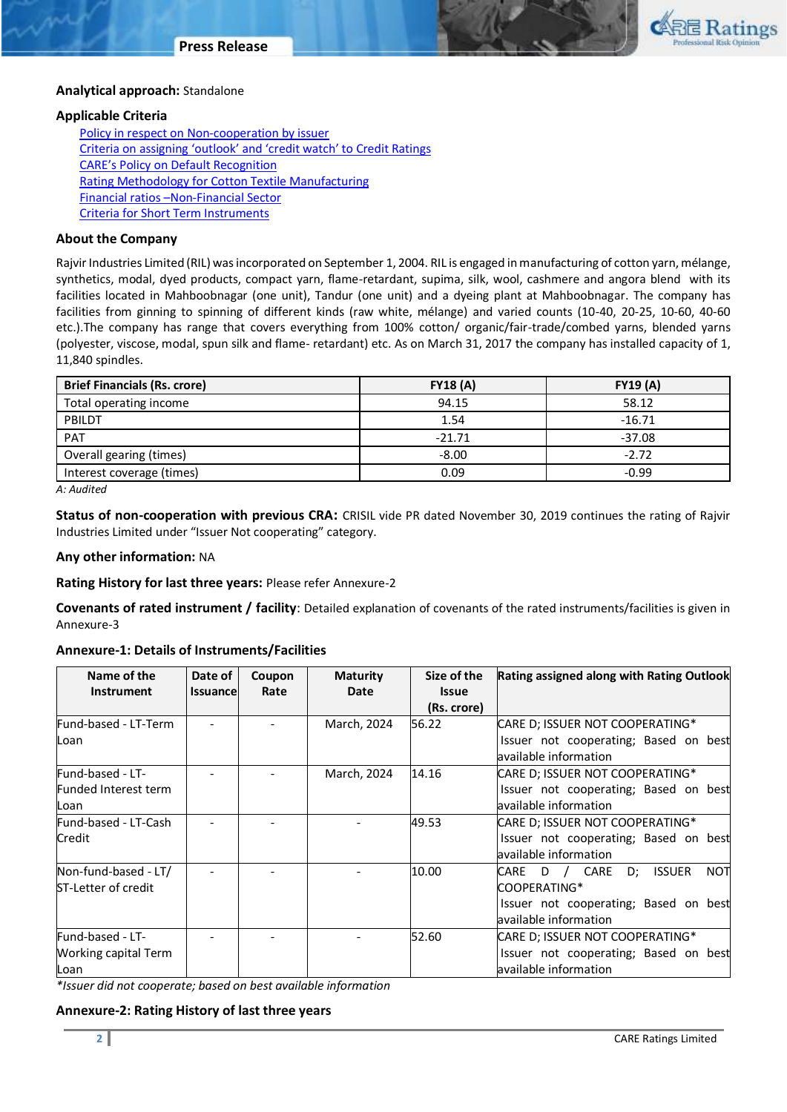

#### **Analytical approach:** Standalone

## **Applicable Criteria**

[Policy in respect on Non-cooperation by issuer](http://www.careratings.com/pdf/resources/CARECreditRatingProcess.pdf) [Criteria on assigning 'outlook' and 'credit watch' to Credit Ratings](http://www.careratings.com/pdf/resources/Rating_Outlook_and_credit_watch_May_2019.pdf) [CARE's Policy on Default Recognition](http://www.careratings.com/pdf/resources/CARE) [Rating Methodology for Cotton Textile Manufacturing](http://www.careratings.com/upload/NewsFiles/GetRated/Rating%20Methodology%20_Cotton%20Textile%20Manufacturing_Oct_2019.pdf) Financial ratios –[Non-Financial Sector](http://www.careratings.com/pdf/resources/Financial%20ratios%20-%20Non%20Financial%20Sector-Sept2019.pdf) [Criteria for Short Term Instruments](http://www.careratings.com/upload/NewsFiles/GetRated/Short%20Term%20Instruments%20_Mar%202020.pdf)

## **About the Company**

Rajvir Industries Limited (RIL) was incorporated on September 1, 2004. RIL is engaged in manufacturing of cotton yarn, mélange, synthetics, modal, dyed products, compact yarn, flame-retardant, supima, silk, wool, cashmere and angora blend with its facilities located in Mahboobnagar (one unit), Tandur (one unit) and a dyeing plant at Mahboobnagar. The company has facilities from ginning to spinning of different kinds (raw white, mélange) and varied counts (10-40, 20-25, 10-60, 40-60 etc.).The company has range that covers everything from 100% cotton/ organic/fair-trade/combed yarns, blended yarns (polyester, viscose, modal, spun silk and flame- retardant) etc. As on March 31, 2017 the company has installed capacity of 1, 11,840 spindles.

| <b>Brief Financials (Rs. crore)</b> | <b>FY18 (A)</b> | <b>FY19 (A)</b> |  |
|-------------------------------------|-----------------|-----------------|--|
| Total operating income              | 94.15           | 58.12           |  |
| PBILDT                              | 1.54            | $-16.71$        |  |
| PAT                                 | $-21.71$        | $-37.08$        |  |
| Overall gearing (times)             | $-8.00$         | $-2.72$         |  |
| Interest coverage (times)           | 0.09            | $-0.99$         |  |

*A: Audited*

**Status of non-cooperation with previous CRA:** CRISIL vide PR dated November 30, 2019 continues the rating of Rajvir Industries Limited under "Issuer Not cooperating" category.

#### **Any other information:** NA

**Rating History for last three years:** Please refer Annexure-2

**Covenants of rated instrument / facility**: Detailed explanation of covenants of the rated instruments/facilities is given in Annexure-3

## **Annexure-1: Details of Instruments/Facilities**

| Name of the<br><b>Instrument</b>                   | Date of<br><b>Issuancel</b> | Coupon<br>Rate | <b>Maturity</b><br>Date | Size of the<br><b>Issue</b><br>(Rs. crore) | Rating assigned along with Rating Outlook                                                                                     |
|----------------------------------------------------|-----------------------------|----------------|-------------------------|--------------------------------------------|-------------------------------------------------------------------------------------------------------------------------------|
| Fund-based - LT-Term<br>Loan                       |                             |                | March, 2024             | 56.22                                      | CARE D; ISSUER NOT COOPERATING*<br>Issuer not cooperating; Based on best<br>available information                             |
| Fund-based - LT-<br>Funded Interest term<br>Loan   |                             |                | March, 2024             | 14.16                                      | CARE D; ISSUER NOT COOPERATING*<br>Issuer not cooperating; Based on best<br>available information                             |
| Fund-based - LT-Cash<br>Credit                     |                             |                |                         | 49.53                                      | CARE D; ISSUER NOT COOPERATING*<br>Issuer not cooperating; Based on best<br>available information                             |
| Non-fund-based - LT/<br><b>ST-Letter of credit</b> |                             |                |                         | 10.00                                      | D; ISSUER<br><b>NOT</b><br>D / CARE<br>CARE<br>COOPERATING*<br>Issuer not cooperating; Based on best<br>available information |
| Fund-based - LT-<br>Working capital Term<br>Loan   |                             |                |                         | 52.60                                      | CARE D; ISSUER NOT COOPERATING*<br>Issuer not cooperating; Based on best<br>available information                             |

*\*Issuer did not cooperate; based on best available information*

**Annexure-2: Rating History of last three years**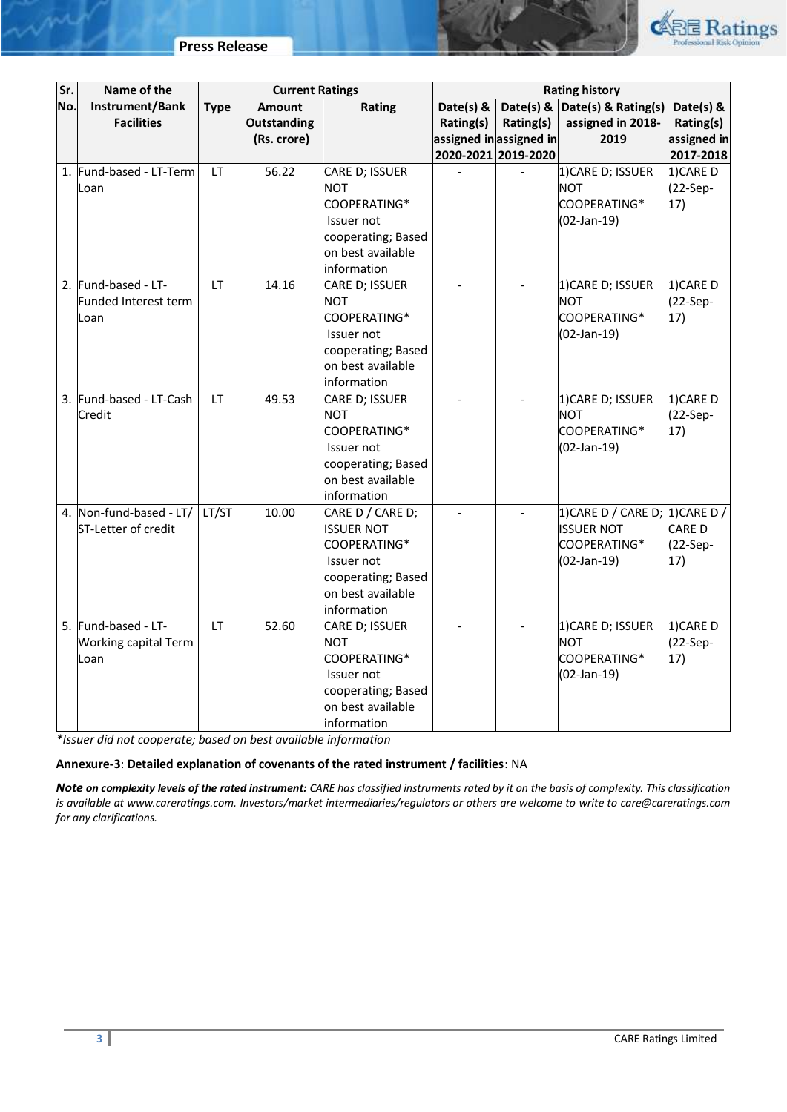

| Sr. | Name of the                 | <b>Current Ratings</b> |               | <b>Rating history</b>                   |                         |                          |                                       |             |
|-----|-----------------------------|------------------------|---------------|-----------------------------------------|-------------------------|--------------------------|---------------------------------------|-------------|
| No. | Instrument/Bank             | <b>Type</b>            | <b>Amount</b> | Rating                                  | Date(s) &               |                          | Date(s) & $\vert$ Date(s) & Rating(s) | Date(s) &   |
|     | <b>Facilities</b>           |                        | Outstanding   |                                         | Rating(s)               | Rating(s)                | assigned in 2018-                     | Rating(s)   |
|     |                             |                        | (Rs. crore)   |                                         | assigned in assigned in |                          | 2019                                  | assigned in |
|     |                             |                        |               |                                         | 2020-2021 2019-2020     |                          |                                       | 2017-2018   |
| 1.  | Fund-based - LT-Term        | <b>LT</b>              | 56.22         | CARE D; ISSUER                          |                         |                          | 1) CARE D; ISSUER                     | 1)CARE D    |
|     | Loan                        |                        |               | <b>NOT</b>                              |                         |                          | <b>NOT</b>                            | $(22-Sep-$  |
|     |                             |                        |               | COOPERATING*                            |                         |                          | COOPERATING*                          | 17)         |
|     |                             |                        |               | Issuer not                              |                         |                          | $(02-Jan-19)$                         |             |
|     |                             |                        |               | cooperating; Based                      |                         |                          |                                       |             |
|     |                             |                        |               | on best available                       |                         |                          |                                       |             |
|     |                             |                        |               | information                             |                         |                          |                                       |             |
| 2.  | Fund-based - LT-            | <b>LT</b>              | 14.16         | CARE D; ISSUER                          | $\blacksquare$          | $\overline{\phantom{a}}$ | 1) CARE D; ISSUER                     | 1)CARE D    |
|     | Funded Interest term        |                        |               | <b>NOT</b>                              |                         |                          | <b>NOT</b>                            | $(22-Sep-$  |
|     | Loan                        |                        |               | COOPERATING*                            |                         |                          | COOPERATING*                          | 17)         |
|     |                             |                        |               | Issuer not                              |                         |                          | $(02-Jan-19)$                         |             |
|     |                             |                        |               | cooperating; Based<br>on best available |                         |                          |                                       |             |
|     |                             |                        |               | information                             |                         |                          |                                       |             |
| 3.  | Fund-based - LT-Cash        | <b>LT</b>              | 49.53         | CARE D; ISSUER                          | $\blacksquare$          | $\overline{a}$           | 1) CARE D; ISSUER                     | 1)CARE D    |
|     | Credit                      |                        |               | <b>NOT</b>                              |                         |                          | <b>NOT</b>                            | (22-Sep-    |
|     |                             |                        |               | COOPERATING*                            |                         |                          | COOPERATING*                          | 17)         |
|     |                             |                        |               | Issuer not                              |                         |                          | (02-Jan-19)                           |             |
|     |                             |                        |               | cooperating; Based                      |                         |                          |                                       |             |
|     |                             |                        |               | on best available                       |                         |                          |                                       |             |
|     |                             |                        |               | information                             |                         |                          |                                       |             |
|     | 4. Non-fund-based - LT/     | LT/ST                  | 10.00         | CARE D / CARE D;                        |                         | $\Box$                   | 1) CARE D / CARE D; 1) CARE D /       |             |
|     | ST-Letter of credit         |                        |               | <b>ISSUER NOT</b>                       |                         |                          | <b>ISSUER NOT</b>                     | CARE D      |
|     |                             |                        |               | COOPERATING*                            |                         |                          | COOPERATING*                          | (22-Sep-    |
|     |                             |                        |               | Issuer not                              |                         |                          | (02-Jan-19)                           | 17)         |
|     |                             |                        |               | cooperating; Based                      |                         |                          |                                       |             |
|     |                             |                        |               | on best available                       |                         |                          |                                       |             |
|     |                             |                        |               | information                             |                         |                          |                                       |             |
|     | 5. Fund-based - LT-         | <b>LT</b>              | 52.60         | CARE D; ISSUER                          | $\overline{a}$          |                          | 1) CARE D; ISSUER                     | 1)CARE D    |
|     | <b>Working capital Term</b> |                        |               | <b>NOT</b>                              |                         |                          | <b>NOT</b>                            | $(22-Sep-$  |
|     | Loan                        |                        |               | COOPERATING*<br>Issuer not              |                         |                          | COOPERATING*                          | 17)         |
|     |                             |                        |               | cooperating; Based                      |                         |                          | $(02-Jan-19)$                         |             |
|     |                             |                        |               | on best available                       |                         |                          |                                       |             |
|     |                             |                        |               |                                         |                         |                          |                                       |             |
|     |                             |                        |               | information                             |                         |                          |                                       |             |

*\*Issuer did not cooperate; based on best available information*

# **Annexure-3**: **Detailed explanation of covenants of the rated instrument / facilities**: NA

*Note on complexity levels of the rated instrument: CARE has classified instruments rated by it on the basis of complexity. This classification is available at www.careratings.com. Investors/market intermediaries/regulators or others are welcome to write to care@careratings.com for any clarifications.*